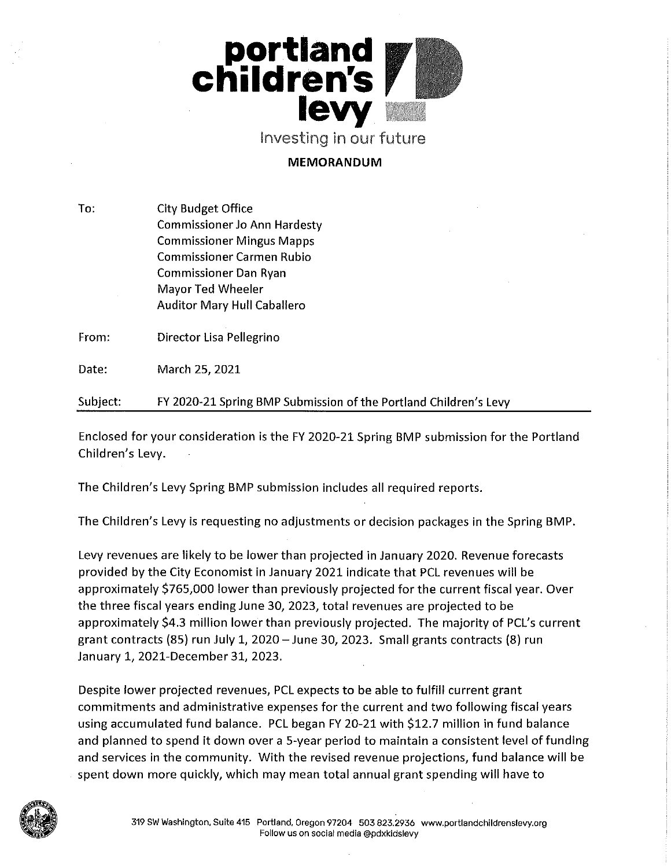

Investing in our future

### **MEMORANDUM**

To: **City Budget Office Commissioner Jo Ann Hardesty Commissioner Mingus Mapps Commissioner Carmen Rubio Commissioner Dan Ryan Mayor Ted Wheeler Auditor Mary Hull Caballero** 

From: Director Lisa Pellegrino

Date: March 25, 2021

FY 2020-21 Spring BMP Submission of the Portland Children's Levy Subject:

Enclosed for your consideration is the FY 2020-21 Spring BMP submission for the Portland Children's Levy.

The Children's Levy Spring BMP submission includes all required reports.

The Children's Levy is requesting no adjustments or decision packages in the Spring BMP.

Levy revenues are likely to be lower than projected in January 2020. Revenue forecasts provided by the City Economist in January 2021 indicate that PCL revenues will be approximately \$765,000 lower than previously projected for the current fiscal year. Over the three fiscal years ending June 30, 2023, total revenues are projected to be approximately \$4.3 million lower than previously projected. The majority of PCL's current grant contracts (85) run July 1, 2020 - June 30, 2023. Small grants contracts (8) run January 1, 2021-December 31, 2023.

Despite lower projected revenues, PCL expects to be able to fulfill current grant commitments and administrative expenses for the current and two following fiscal years using accumulated fund balance. PCL began FY 20-21 with \$12.7 million in fund balance and planned to spend it down over a 5-year period to maintain a consistent level of funding and services in the community. With the revised revenue projections, fund balance will be spent down more quickly, which may mean total annual grant spending will have to

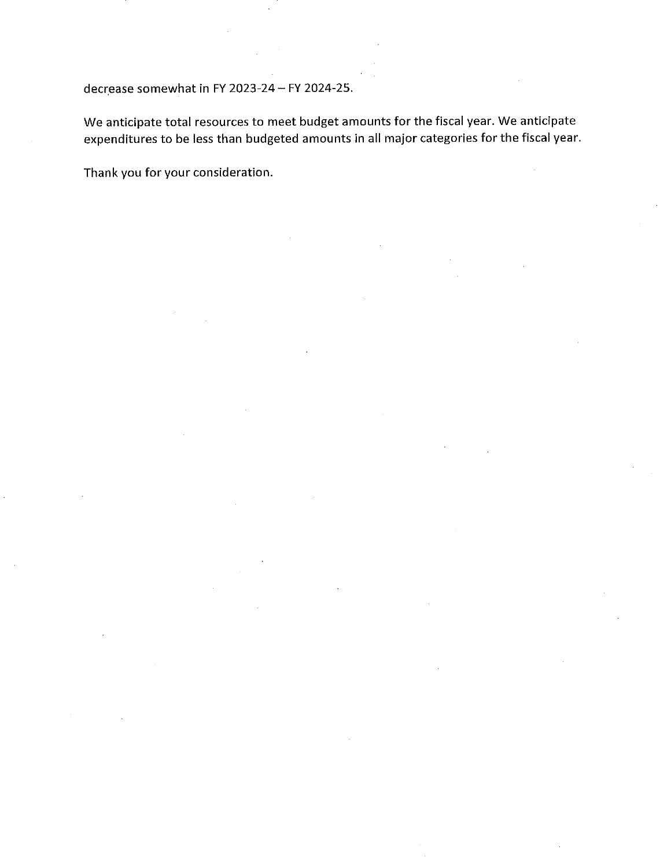decrease somewhat in FY 2023-24 - FY 2024-25.

We anticipate total resources to meet budget amounts for the fiscal year. We anticipate expenditures to be less than budgeted amounts in all major categories for the fiscal year.

Thank you for your consideration.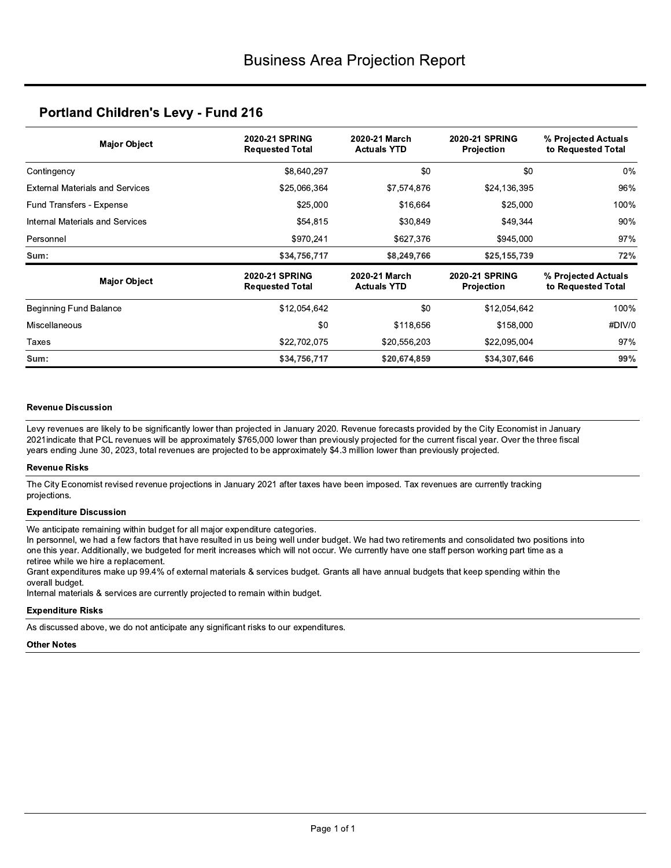### **Portland Children's Levy - Fund 216**

| <b>Major Object</b>                    | <b>2020-21 SPRING</b><br><b>Requested Total</b> | 2020-21 March<br><b>Actuals YTD</b> | <b>2020-21 SPRING</b><br><b>Projection</b> | % Projected Actuals<br>to Requested Total |
|----------------------------------------|-------------------------------------------------|-------------------------------------|--------------------------------------------|-------------------------------------------|
| Contingency                            | \$8,640,297                                     | \$0                                 | \$0                                        | $0\%$                                     |
| <b>External Materials and Services</b> | \$25,066,364                                    | \$7,574,876                         | \$24,136,395                               | 96%                                       |
| Fund Transfers - Expense               | \$25,000                                        | \$16,664                            | \$25,000                                   | 100%                                      |
| Internal Materials and Services        | \$54,815                                        | \$30,849                            | \$49,344                                   | 90%                                       |
| Personnel                              | \$970,241                                       | \$627,376                           | \$945,000                                  | 97%                                       |
| Sum:                                   | \$34,756,717                                    | \$8,249,766                         | \$25,155,739                               | 72%                                       |
| <b>Major Object</b>                    | <b>2020-21 SPRING</b><br><b>Requested Total</b> | 2020-21 March<br><b>Actuals YTD</b> | <b>2020-21 SPRING</b><br>Projection        | % Projected Actuals<br>to Requested Total |
| Beginning Fund Balance                 | \$12,054,642                                    | \$0                                 | \$12,054,642                               | 100%                                      |
| <b>Miscellaneous</b>                   | \$0                                             | \$118,656                           | \$158,000                                  | #DIV/0                                    |
| Taxes                                  | \$22,702,075                                    | \$20,556,203                        | \$22,095,004                               | 97%                                       |
| Sum:                                   | \$34,756,717                                    | \$20,674,859                        | \$34,307,646                               | 99%                                       |

### **Revenue Discussion**

Levy revenues are likely to be significantly lower than projected in January 2020. Revenue forecasts provided by the City Economist in January 2021 indicate that PCL revenues will be approximately \$765,000 lower than previously projected for the current fiscal year. Over the three fiscal years ending June 30, 2023, total revenues are projected to be approximately \$4.3 million lower than previously projected.

### **Revenue Risks**

The City Economist revised revenue projections in January 2021 after taxes have been imposed. Tax revenues are currently tracking projections.

### **Expenditure Discussion**

We anticipate remaining within budget for all major expenditure categories.

In personnel, we had a few factors that have resulted in us being well under budget. We had two retirements and consolidated two positions into one this year. Additionally, we budgeted for merit increases which will not occur. We currently have one staff person working part time as a retiree while we hire a replacement.

Grant expenditures make up 99.4% of external materials & services budget. Grants all have annual budgets that keep spending within the overall budget.

Internal materials & services are currently projected to remain within budget.

### **Expenditure Risks**

As discussed above, we do not anticipate any significant risks to our expenditures.

**Other Notes**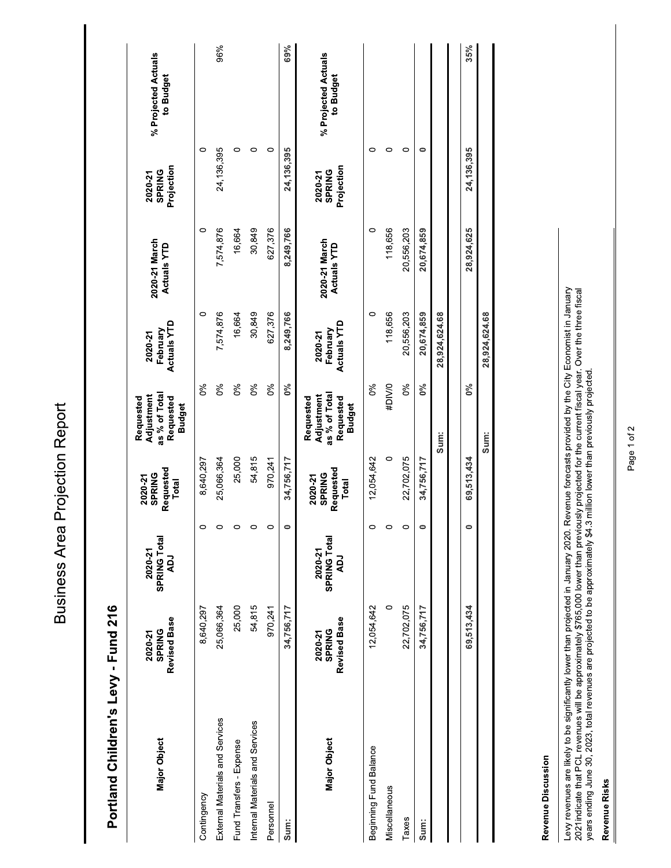**Business Area Projection Report** 

Portland Children's Levy - Fund 216

| <b>Major Object</b>             | Revised Base<br><b>SPRING</b><br>2020-21 | SPRING Total<br>2020-21<br><b>LOV</b> | Requested<br><b>SPRING</b><br>2020-21<br>Total | as % of Total<br>Adjustment<br>Requested<br>Requested<br><b>Budget</b> | <b>Actuals YTD</b><br>February<br>2020-21 | 2020-21 March<br><b>Actuals YTD</b> | Projection<br><b>SPRING</b><br>2020-21 | % Projected Actuals<br>to Budget |
|---------------------------------|------------------------------------------|---------------------------------------|------------------------------------------------|------------------------------------------------------------------------|-------------------------------------------|-------------------------------------|----------------------------------------|----------------------------------|
| Contingency                     | 8,640,297                                | 0                                     | 8,640,297                                      | $\delta$                                                               | $\circ$                                   | $\circ$                             | $\circ$                                |                                  |
| External Materials and Services | 25,066,364                               | 0                                     | 25,066,364                                     | $\delta$                                                               | 7,574,876                                 | 7,574,876                           | 24,136,395                             | 96%                              |
| Fund Transfers - Expense        | 25,000                                   | 0                                     | 25,000                                         | 0%                                                                     | 16,664                                    | 16,664                              | 0                                      |                                  |
| Internal Materials and Services | 54,815                                   | $\circ$                               | 54,815                                         | $\delta$                                                               | 30,849                                    | 30,849                              | 0                                      |                                  |
| Personnel                       | 970,241                                  | 0                                     | 970,241                                        | $\delta$                                                               | 627,376                                   | 627,376                             | 0                                      |                                  |
| Sum:                            | 34,756,717                               | $\bullet$                             | 34,756,717                                     | 0%                                                                     | 8,249,766                                 | 8,249,766                           | 24,136,395                             | 69%                              |
| Major Object                    | Revised Base<br><b>SPRING</b><br>2020-21 | SPRING Total<br>2020-21<br>Γď         | Requested<br><b>SPRING</b><br>2020-21<br>Total | as % of Total<br>Adjustment<br>Requested<br>Requested<br><b>Budget</b> | <b>Actuals YTD</b><br>February<br>2020-21 | 2020-21 March<br><b>Actuals YTD</b> | Projection<br><b>SPRING</b><br>2020-21 | % Projected Actuals<br>to Budget |
| Beginning Fund Balance          | 12,054,642                               | $\circ$                               | 12,054,642                                     | 0%                                                                     | 0                                         | 0                                   | 0                                      |                                  |
| Miscellaneous                   | $\circ$                                  | 0                                     | $\circ$                                        | #DIV/0                                                                 | 118,656                                   | 118,656                             | 0                                      |                                  |
| Taxes                           | 22,702,075                               | 0                                     | 22,702,075                                     | 0%                                                                     | 20,556,203                                | 20,556,203                          | 0                                      |                                  |
| Sum:                            | 34,756,717                               | $\circ$                               | 34,756,717                                     | $0\%$                                                                  | 20,674,859                                | 20,674,859                          | 0                                      |                                  |
|                                 |                                          |                                       |                                                | Sum:                                                                   | 28,924,624.68                             |                                     |                                        |                                  |
|                                 | 69,513,434                               | $\bullet$                             | 69,513,434                                     | $0\%$                                                                  |                                           | 28,924,625                          | 24,136,395                             | 35%                              |
|                                 |                                          |                                       |                                                | Sum:                                                                   | 28,924,624.68                             |                                     |                                        |                                  |
|                                 |                                          |                                       |                                                |                                                                        |                                           |                                     |                                        |                                  |

Revenue Discussion

Levy revenues are likely to be significantly lower than projected in January 2020. Revenue forecasts provided by the City Economist in January<br>2021indicate that PCL revenues will be approximately \$765,000 lower than previo

### Revenue Risks